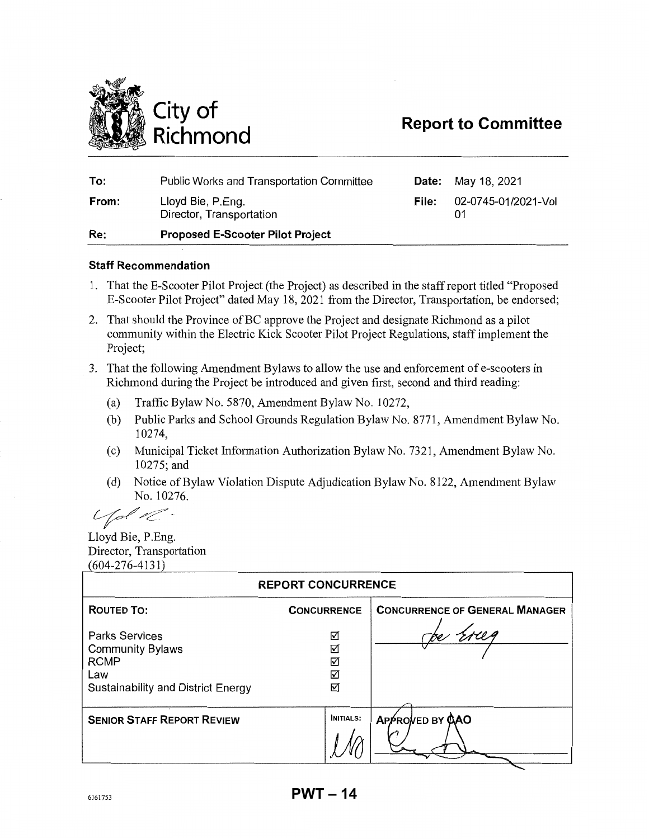

# **Report to Committee**

| To:   | <b>Public Works and Transportation Committee</b> |       | <b>Date:</b> May 18, 2021 |
|-------|--------------------------------------------------|-------|---------------------------|
| From: | Lloyd Bie, P.Eng.<br>Director, Transportation    | File: | 02-0745-01/2021-Vol       |
| Re:   | <b>Proposed E-Scooter Pilot Project</b>          |       |                           |

#### **Staff Recommendation**

- 1. That the E-Scooter Pilot Project (the Project) as described in the staff report titled "Proposed E-Scooter Pilot Project" dated May 18, 2021 from the Director, Transportation, be endorsed;
- 2. That should the Province of BC approve the Project and designate Richmond as a pilot community within the Electric Kick Scooter Pilot Project Regulations, staff implement the Project;
- 3. That the following Amendment Bylaws to allow the use and enforcement of e-scooters in Richmond during the Project be introduced and given first, second and third reading:
	- (a) Traffic Bylaw No. 5870, Amendment Bylaw No. 10272,
	- (b) Public Parks and School Grounds Regulation Bylaw No. 8771, Amendment Bylaw No. 10274,
	- ( c) Municipal Ticket Information Authorization Bylaw No. 7321, Amendment Bylaw No. 10275;and
	- ( d) Notice of Bylaw Violation Dispute Adjudication Bylaw No. 8122, Amendment Bylaw No. 10276.

 $L_{\ell}$ 

Lloyd Bie, P.Eng. Director, Transportation 604-276-4131)

| <b>REPORT CONCURRENCE</b>                                                                                    |                       |                                       |  |  |  |
|--------------------------------------------------------------------------------------------------------------|-----------------------|---------------------------------------|--|--|--|
| <b>ROUTED TO:</b>                                                                                            | <b>CONCURRENCE</b>    | <b>CONCURRENCE OF GENERAL MANAGER</b> |  |  |  |
| <b>Parks Services</b><br><b>Community Bylaws</b><br><b>RCMP</b><br>Law<br>Sustainability and District Energy | ☑<br>☑<br>☑<br>☑<br>☑ |                                       |  |  |  |
| <b>SENIOR STAFF REPORT REVIEW</b>                                                                            | <b>INITIALS:</b>      | APPROVED BY CAO                       |  |  |  |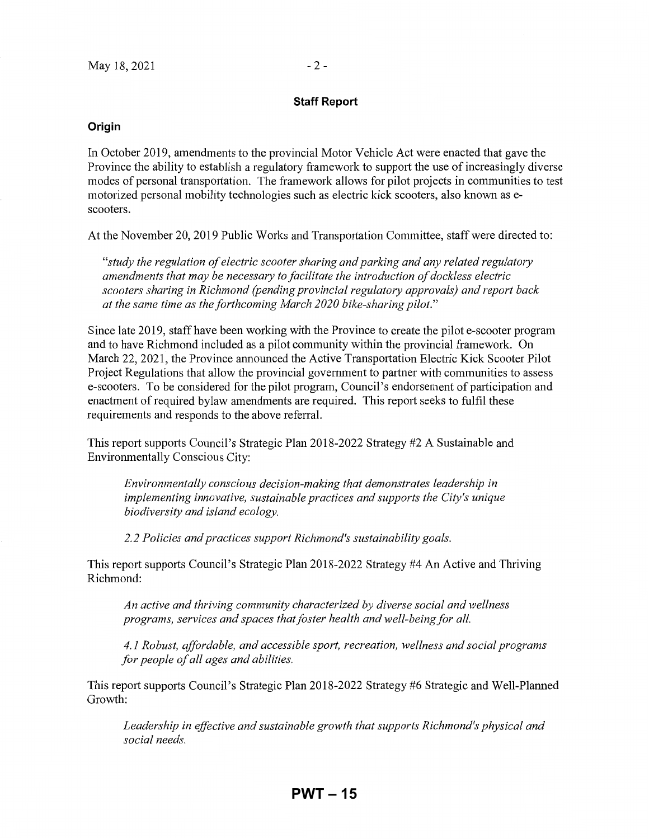#### **Staff Report**

#### **Origin**

In October 2019, amendments to the provincial Motor Vehicle Act were enacted that gave the Province the ability to establish a regulatory framework to support the use of increasingly diverse modes of personal transportation. The framework allows for pilot projects in communities to test motorized personal mobility technologies such as electric kick scooters, also known as escooters.

At the November 20, 2019 Public Works and Transportation Committee, staff were directed to:

*"study the regulation of electric scooter sharing and parking and any related regulatory amendments that may be necessary to facilitate the introduction of dockless electric scooters sharing in Richmond (pending provincial regulatory approvals) and report back at the same time as the forthcoming March 2020 bike-sharing pilot."* 

Since late 2019, staff have been working with the Province to create the pilot e-scooter program and to have Richmond included as a pilot community within the provincial framework. On March 22, 2021, the Province announced the Active Transportation Electric Kick Scooter Pilot Project Regulations that allow the provincial government to partner with communities to assess e-scooters. To be considered for the pilot program, Council's endorsement of participation and enactment of required bylaw amendments are required. This report seeks to fulfil these requirements and responds to the above referral.

This report supports Council's Strategic Plan 2018-2022 Strategy #2 A Sustainable and Environmentally Conscious City:

*Environmentally conscious decision-making that demonstrates leadership in implementing innovative, sustainable practices and supports the City's unique biodiversity and island ecology.* 

*2.2 Policies and practices support Richmond's sustainability goals.* 

This report supports Council's Strategic Plan 2018-2022 Strategy #4 An Active and Thriving Richmond:

*An active and thriving community characterized by diverse social and wellness programs, services and spaces that foster health and well-being for all.* 

*4.1 Robust, affordable, and accessible sport, recreation, wellness and social programs for people of all ages and abilities.* 

This report supports Council's Strategic Plan 2018-2022 Strategy #6 Strategic and Well-Planned Growth:

*Leadership in effective and sustainable growth that supports Richmond's physical and social needs.*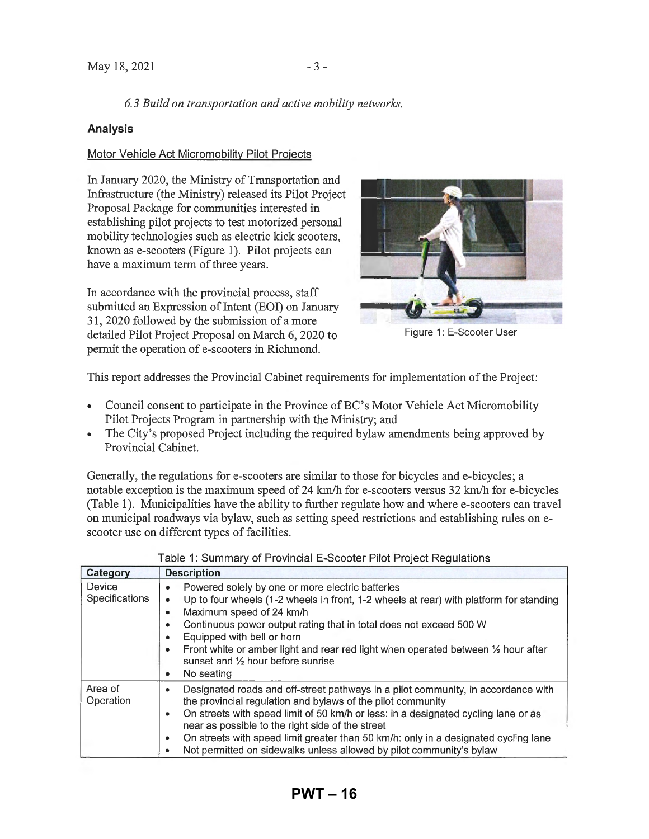### *6.3 Build on transportation and active mobility networks.*

#### **Analysis**

#### Motor Vehicle Act Micromobility Pilot Projects

In January 2020, the Ministry of Transportation and Infrastructure (the Ministry) released its Pilot Project Proposal Package for communities interested in establishing pilot projects to test motorized personal mobility technologies such as electric kick scooters, known as e-scooters (Figure 1). Pilot projects can have a maximum term of three years.

In accordance with the provincial process, staff submitted an Expression of Intent (EOI) on January 31, 2020 followed by the submission of a more detailed Pilot Project Proposal on March 6, 2020 to pennit the operation of e-scooters in Richmond.



Figure 1: E-Scooter User

This report addresses the Provincial Cabinet requirements for implementation of the Project:

- Council consent to participate in the Province of BC's Motor Vehicle Act Micromobility Pilot Projects Program in partnership with the Ministry; and
- The City's proposed Project including the required bylaw amendments being approved by Provincial Cabinet.

Generally, the regulations for e-scooters are similar to those for bicycles and e-bicycles; a notable exception is the maximum speed of 24 km/h for e-scooters versus 32 km/h for e-bicycles (Table 1). Municipalities have the ability to further regulate how and where e-scooters can travel on municipal roadways via bylaw, such as setting speed restrictions and establishing rules onescooter use on different types of facilities.

| Category                        | <b>Description</b>                                                                                                                                                                                                                                                                                                                                                                                                                                                            |
|---------------------------------|-------------------------------------------------------------------------------------------------------------------------------------------------------------------------------------------------------------------------------------------------------------------------------------------------------------------------------------------------------------------------------------------------------------------------------------------------------------------------------|
| Device<br><b>Specifications</b> | Powered solely by one or more electric batteries<br>۰<br>Up to four wheels (1-2 wheels in front, 1-2 wheels at rear) with platform for standing<br>٠<br>Maximum speed of 24 km/h<br>۰<br>Continuous power output rating that in total does not exceed 500 W<br>Equipped with bell or horn<br>Front white or amber light and rear red light when operated between $\frac{1}{2}$ hour after<br>۰<br>sunset and 1/2 hour before sunrise<br>No seating<br>۰                       |
| Area of<br>Operation            | Designated roads and off-street pathways in a pilot community, in accordance with<br>٠<br>the provincial regulation and bylaws of the pilot community<br>On streets with speed limit of 50 km/h or less: in a designated cycling lane or as<br>٠<br>near as possible to the right side of the street<br>On streets with speed limit greater than 50 km/h: only in a designated cycling lane<br>٠<br>Not permitted on sidewalks unless allowed by pilot community's bylaw<br>٠ |

| Table 1: Summary of Provincial E-Scooter Pilot Project Regulations |  |  |  |  |  |
|--------------------------------------------------------------------|--|--|--|--|--|
|--------------------------------------------------------------------|--|--|--|--|--|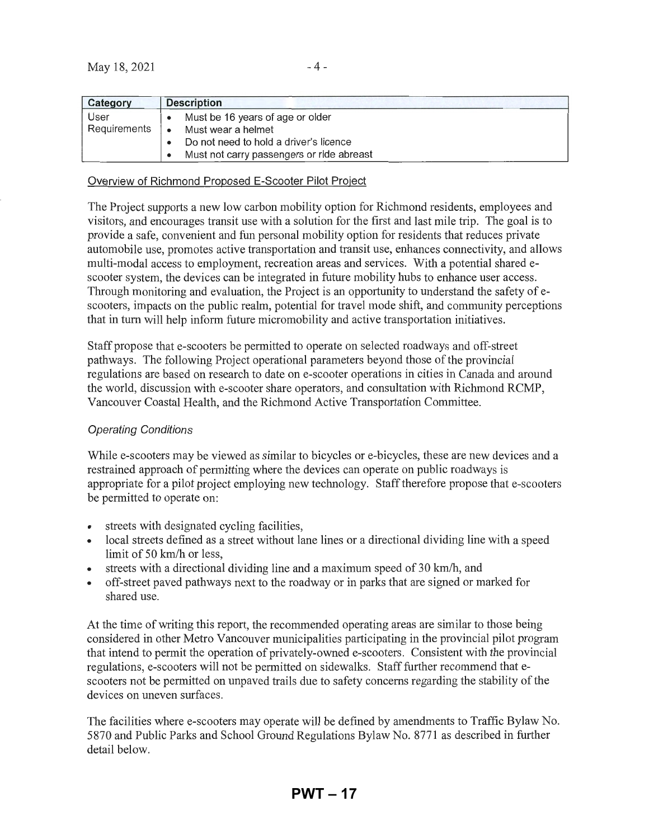| Category     | <b>Description</b>                        |
|--------------|-------------------------------------------|
| User         | Must be 16 years of age or older          |
| Requirements | Must wear a helmet                        |
|              | Do not need to hold a driver's licence    |
|              | Must not carry passengers or ride abreast |

#### Overview of Richmond Proposed E-Scooter Pilot Project

The Project supports a new low carbon mobility option for Richmond residents, employees and visitors, and encourages transit use with a solution for the first and last mile trip. The goal is to provide a safe, convenient and fun personal mobility option for residents that reduces private automobile use, promotes active transportation and transit use, enhances connectivity, and allows multi-modal access to employment, recreation areas and services. With a potential shared escooter system, the devices can be integrated in future mobility hubs to enhance user access. Through monitoring and evaluation, the Project is an opportunity to understand the safety of escooters, impacts on the public realm, potential for travel mode shift, and community perceptions that in tum will help inform future micromobility and active transportation initiatives.

Staff propose that e-scooters be permitted to operate on selected roadways and off-street pathways. The following Project operational parameters beyond those of the provincial regulations are based on research to date on e-scooter operations in cities in Canada and around the world, discussion with e-scooter share operators, and consultation with Richmond RCMP, Vancouver Coastal Health, and the Richmond Active Transportation Committee.

#### Operating Conditions

While e-scooters may be viewed as similar to bicycles or e-bicycles, these are new devices and a restrained approach of pennitting where the devices can operate on public roadways is appropriate for a pilot project employing new technology. Staff therefore propose that e-scooters be permitted to operate on:

- streets with designated cycling facilities,
- local streets defined as a street without lane lines or a directional dividing line with a speed limit of 50 km/h or less,
- streets with a directional dividing line and a maximum speed of 30 km/h, and
- off-street paved pathways next to the roadway or in parks that are signed or marked for shared use.

At the time of writing this report, the recommended operating areas are similar to those being considered in other Metro Vancouver municipalities participating in the provincial pilot program that intend to pennit the operation of privately-owned e-scooters. Consistent with the provincial regulations, e-scooters will not be permitted on sidewalks. Staff further recommend that escooters not be permitted on unpaved trails due to safety concerns regarding the stability of the devices on uneven surfaces.

The facilities where e-scooters may operate will be defined by amendments to Traffic Bylaw No. 5870 and Public Parks and School Ground Regulations Bylaw No. 8771 as described in further detail below.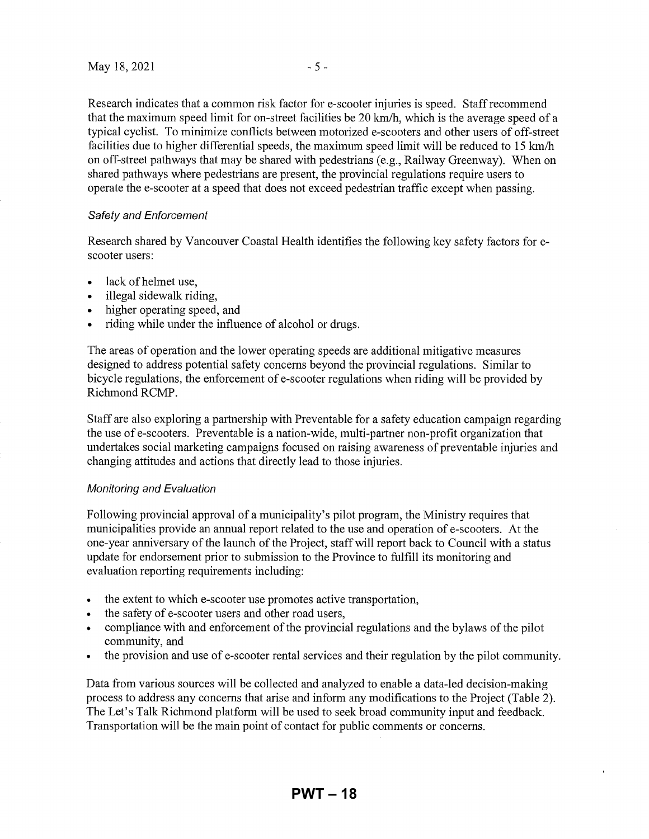Research indicates that a common risk factor for e-scooter injuries is speed. Staff recommend that the maximum speed limit for on-street facilities be 20 km/h, which is the average speed of a typical cyclist. To minimize conflicts between motorized e-scooters and other users of off-street facilities due to higher differential speeds, the maximum speed limit will be reduced to 15 km/h on off-street pathways that may be shared with pedestrians (e.g., Railway Greenway). When on shared pathways where pedestrians are present, the provincial regulations require users to operate the e-scooter at a speed that does not exceed pedestrian traffic except when passing.

#### Safety and Enforcement

Research shared by Vancouver Coastal Health identifies the following key safety factors for escooter users:

- lack of helmet use.
- illegal sidewalk riding,
- higher operating speed, and
- riding while under the influence of alcohol or drugs.

The areas of operation and the lower operating speeds are additional mitigative measures designed to address potential safety concerns beyond the provincial regulations. Similar to bicycle regulations, the enforcement of e-scooter regulations when riding will be provided by Richmond RCMP.

Staff are also exploring a partnership with Preventable for a safety education campaign regarding the use of e-scooters. Preventable is a nation-wide, multi-partner non-profit organization that undertakes social marketing campaigns focused on raising awareness of preventable injuries and changing attitudes and actions that directly lead to those injuries.

#### Monitoring and Evaluation

Following provincial approval of a municipality's pilot program, the Ministry requires that municipalities provide an annual report related to the use and operation of e-scooters. At the one-year anniversary of the launch of the Project, staff will report back to Council with a status update for endorsement prior to submission to the Province to fulfill its monitoring and evaluation reporting requirements including:

- the extent to which e-scooter use promotes active transportation,
- the safety of e-scooter users and other road users,
- compliance with and enforcement of the provincial regulations and the bylaws of the pilot community, and
- the provision and use of e-scooter rental services and their regulation by the pilot community.

Data from various sources will be collected and analyzed to enable a data-led decision-making process to address any concerns that arise and inform any modifications to the Project (Table 2). The Let's Talk Richmond platform will be used to seek broad community input and feedback. Transportation will be the main point of contact for public comments or concerns.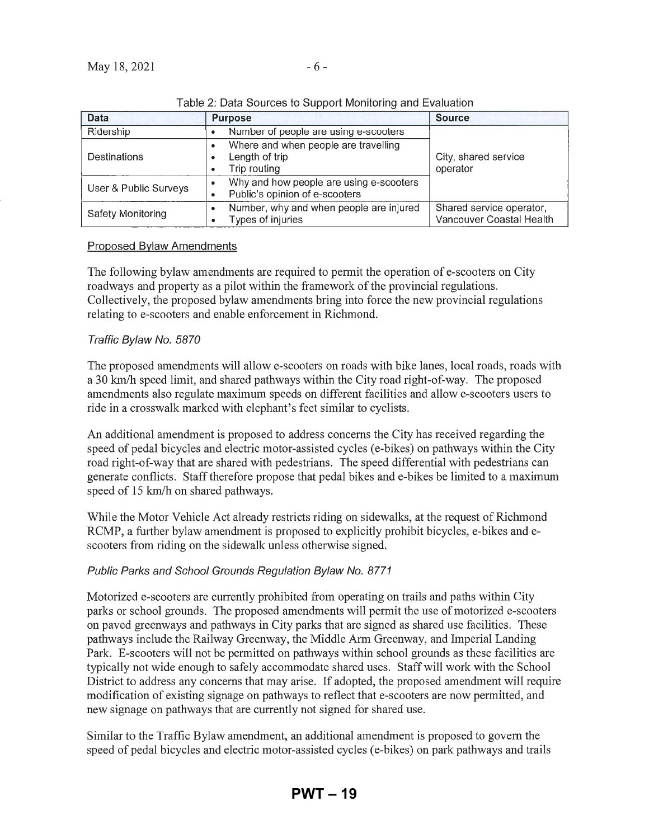| Data                     | <b>Purpose</b>                                                                        | <b>Source</b>                                        |  |  |  |
|--------------------------|---------------------------------------------------------------------------------------|------------------------------------------------------|--|--|--|
| Ridership                | Number of people are using e-scooters                                                 |                                                      |  |  |  |
| Destinations             | Where and when people are travelling<br>٠<br>Length of trip<br>٠<br>Trip routing<br>٠ | City, shared service<br>operator                     |  |  |  |
| User & Public Surveys    | Why and how people are using e-scooters<br>Public's opinion of e-scooters<br>٠        |                                                      |  |  |  |
| <b>Safety Monitoring</b> | Number, why and when people are injured<br>Types of injuries                          | Shared service operator,<br>Vancouver Coastal Health |  |  |  |

|  |  |  | Table 2: Data Sources to Support Monitoring and Evaluation |
|--|--|--|------------------------------------------------------------|
|  |  |  |                                                            |

### Proposed Bylaw Amendments

The following bylaw amendments are required to pennit the operation of e-scooters on City roadways and property as a pilot within the framework of the provincial regulations. Collectively, the proposed bylaw amendments bring into force the new provincial regulations relating to e-scooters and enable enforcement in Richmond.

### Traffic Bylaw No. 5870

The proposed amendments will allow e-scooters on roads with bike lanes, local roads, roads with a 30 km/h speed limit, and shared pathways within the City road right-of-way. The proposed amendments also regulate maximum speeds on different facilities and allow e-scooters users to ride in a crosswalk marked with elephant's feet similar to cyclists.

An additional amendment is proposed to address concerns the City has received regarding the speed of pedal bicycles and electric motor-assisted cycles (e-bikes) on pathways within the City road right-of-way that are shared with pedestrians. The speed differential with pedestrians can generate conflicts. Staff therefore propose that pedal bikes and e-bikes be limited to a maximum speed of 15 km/h on shared pathways.

While the Motor Vehicle Act already restricts riding on sidewalks, at the request of Richmond RCMP, a further bylaw amendment is proposed to explicitly prohibit bicycles, e-bikes and escooters from riding on the sidewalk unless otherwise signed.

### Public Parks and School Grounds Regulation Bylaw No. 8771

Motorized e-scooters are currently prohibited from operating on trails and paths within City parks or school grounds. The proposed amendments will permit the use of motorized e-scooters on paved greenways and pathways in City parks that are signed as shared use facilities. These pathways include the Railway Greenway, the Middle Arm Greenway, and Imperial Landing Park. E-scooters will not be permitted on pathways within school grounds as these facilities are typically not wide enough to safely accommodate shared uses. Staff will work with the School District to address any concerns that may arise. If adopted, the proposed amendment will require modification of existing signage on pathways to reflect that e-scooters are now permitted, and new signage on pathways that are currently not signed for shared use.

Similar to the Traffic Bylaw amendment, an additional amendment is proposed to govern the speed of pedal bicycles and electric motor-assisted cycles (e-bikes) on park pathways and trails

**PWT – 19**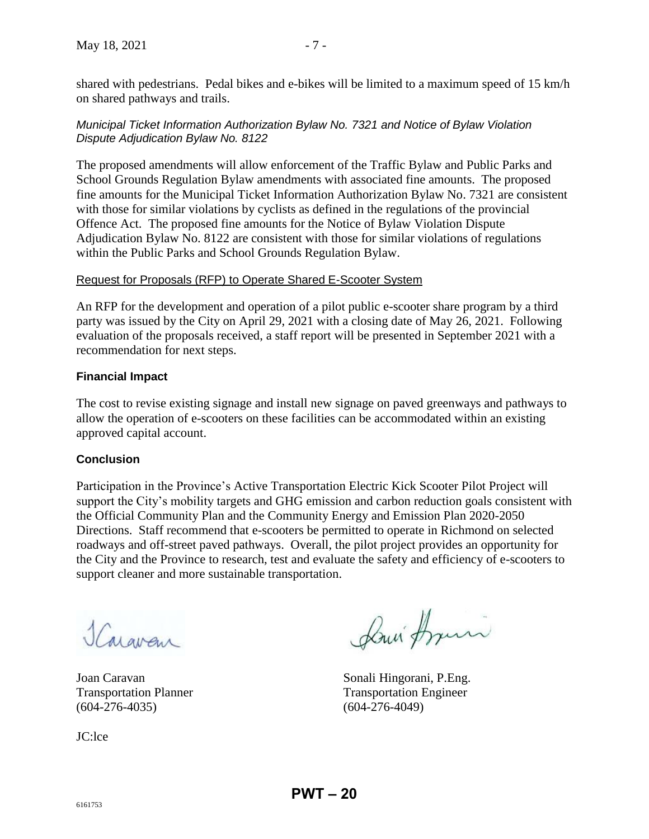shared with pedestrians. Pedal bikes and e-bikes will be limited to a maximum speed of 15 km/h on shared pathways and trails.

### *Municipal Ticket Information Authorization Bylaw No. 7321 and Notice of Bylaw Violation Dispute Adjudication Bylaw No. 8122*

The proposed amendments will allow enforcement of the Traffic Bylaw and Public Parks and School Grounds Regulation Bylaw amendments with associated fine amounts. The proposed fine amounts for the Municipal Ticket Information Authorization Bylaw No. 7321 are consistent with those for similar violations by cyclists as defined in the regulations of the provincial Offence Act. The proposed fine amounts for the Notice of Bylaw Violation Dispute Adjudication Bylaw No. 8122 are consistent with those for similar violations of regulations within the Public Parks and School Grounds Regulation Bylaw.

### Request for Proposals (RFP) to Operate Shared E-Scooter System

An RFP for the development and operation of a pilot public e-scooter share program by a third party was issued by the City on April 29, 2021 with a closing date of May 26, 2021. Following evaluation of the proposals received, a staff report will be presented in September 2021 with a recommendation for next steps.

### **Financial Impact**

The cost to revise existing signage and install new signage on paved greenways and pathways to allow the operation of e-scooters on these facilities can be accommodated within an existing approved capital account.

### **Conclusion**

Participation in the Province's Active Transportation Electric Kick Scooter Pilot Project will support the City's mobility targets and GHG emission and carbon reduction goals consistent with the Official Community Plan and the Community Energy and Emission Plan 2020-2050 Directions. Staff recommend that e-scooters be permitted to operate in Richmond on selected roadways and off-street paved pathways. Overall, the pilot project provides an opportunity for the City and the Province to research, test and evaluate the safety and efficiency of e-scooters to support cleaner and more sustainable transportation.

Jaravan

(604-276-4035) (604-276-4049)

JC:lce

Louis Armin

Joan Caravan Sonali Hingorani, P.Eng. Transportation Planner Transportation Engineer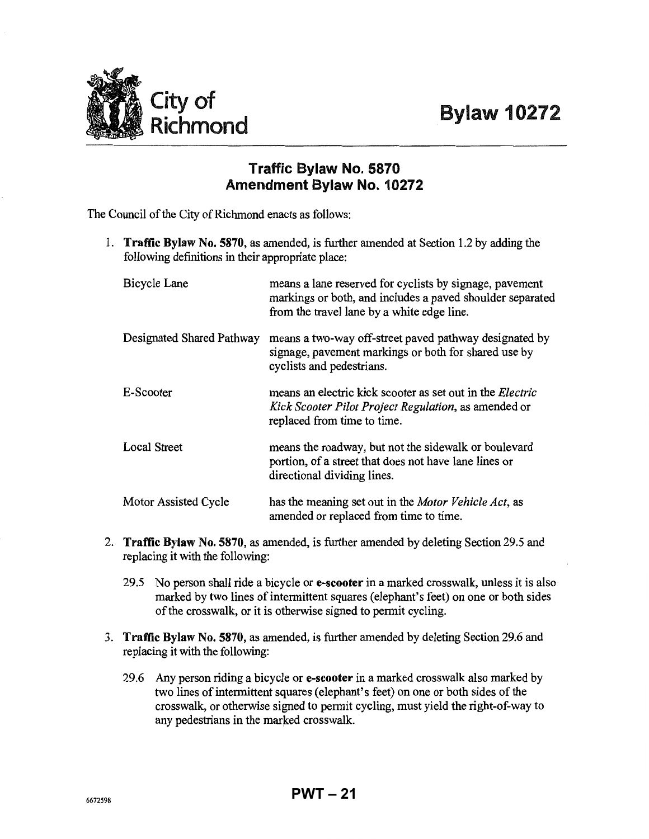

# **Traffic Bylaw No. 5870 Amendment Bylaw No. 10272**

The Council of the City of Richmond enacts as follows:

1. **Traffic Bylaw No. 5870,** as amended, is further amended at Section 1.2 by adding the following definitions in their appropriate place:

| Bicycle Lane              | means a lane reserved for cyclists by signage, pavement<br>markings or both, and includes a paved shoulder separated<br>from the travel lane by a white edge line. |
|---------------------------|--------------------------------------------------------------------------------------------------------------------------------------------------------------------|
| Designated Shared Pathway | means a two-way off-street paved pathway designated by<br>signage, pavement markings or both for shared use by<br>cyclists and pedestrians.                        |
| E-Scooter                 | means an electric kick scooter as set out in the <i>Electric</i><br>Kick Scooter Pilot Project Regulation, as amended or<br>replaced from time to time.            |
| Local Street              | means the roadway, but not the sidewalk or boulevard<br>portion, of a street that does not have lane lines or<br>directional dividing lines.                       |
| Motor Assisted Cycle      | has the meaning set out in the <i>Motor Vehicle Act</i> , as<br>amended or replaced from time to time.                                                             |

- 2. **Traffic Bylaw No. 5870,** as amended, is further amended by deleting Section 29.5 and replacing it with the following:
	- 29.5 No person shall ride a bicycle **ore-scooter** in a marked crosswalk, unless it is also marked by two lines of intermittent squares (elephant's feet) on one or both sides of the crosswalk, or it is otherwise signed to permit cycling.
- 3. **Traffic Bylaw No. 5870,** as amended, is further amended by deleting Section 29.6 and replacing it with the following:
	- 29.6 Any person riding a bicycle **ore-scooter** in a marked crosswalk also marked by two lines of intermittent squares (elephant's feet) on one or both sides of the crosswalk, or otherwise signed to permit cycling, must yield the right-of-way to any pedestrians in the marked crosswalk.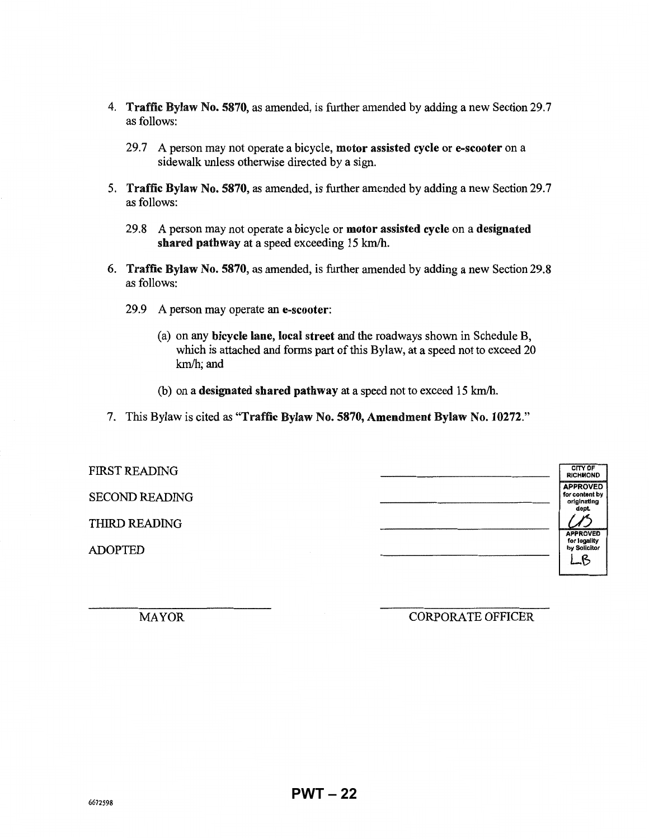- 4. Traffic Bylaw No. 5870, as amended, is further amended by adding a new Section 29.7 as follows:
	- 29.7 A person may not operate a bicycle, motor assisted cycle or e-scooter on a sidewalk unless otherwise directed by a sign.
- 5. Traffic Bylaw No. 5870, as amended, is further amended by adding a new Section 29.7 as follows:
	- 29.8 A person may not operate a bicycle or motor assisted cycle on a designated shared pathway at a speed exceeding 15 km/h.
- 6. Traffic Bylaw No. 5870, as amended, is further amended by adding a new Section 29.8 as follows:
	- 29.9 A person may operate an e-scooter:
		- (a) on any bicycle lane, local street and the roadways shown in Schedule B, which is attached and forms part of this Bylaw, at a speed not to exceed 20 km/h; and
		- (b) on a designated shared pathway at a speed not to exceed 15 km/h.
- 7. This Bylaw is cited as "Traffic Bylaw No. 5870, Amendment Bylaw No. 10272."

| <b>FIRST READING</b>  | CITY OF<br><b>RICHMOND</b>                               |
|-----------------------|----------------------------------------------------------|
| <b>SECOND READING</b> | <b>APPROVED</b><br>for content by<br>originating<br>dept |
| THIRD READING         | <b>APPROVED</b>                                          |
| <b>ADOPTED</b>        | for legality<br>by Solicitor<br>$\mathcal{B}$            |

MAYOR

### CORPORA TE OFFICER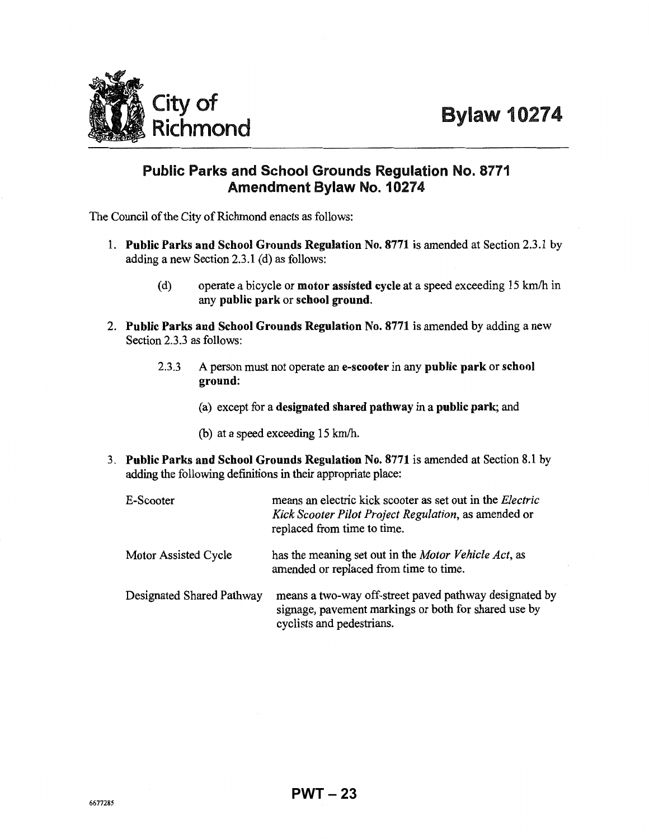

# Public Parks and School Grounds Regulation No. 8771 **Amendment Bylaw No. 10274**

The Council of the City of Richmond enacts as follows:

- 1. **Public Parks and School Grounds Regulation** No. 8771 is amended at Section 2.3.1 by adding a new Section 2.3.1 (d) as follows:
	- (d) operate a bicycle or **motor assisted cycle** at a speed exceeding 15 km/h in any **public park** or **school ground.**
- 2. **Public Parks and School Grounds Regulation No.** 8771 is amended by adding a new Section 2.3.3 as follows:
	- 2.3.3 A person must not operate an **e-scooter** in any **public park** or **school ground:** 
		- (a) except for a **designated shared pathway** in a **public park;** and
		- (b) at a speed exceeding 15 km/h.
- 3. **Public Parks and School Grounds Regulation No. 8771** is amended at Section 8.1 by adding the following definitions in their appropriate place:

| E-Scooter                 | means an electric kick scooter as set out in the <i>Electric</i><br>Kick Scooter Pilot Project Regulation, as amended or<br>replaced from time to time. |
|---------------------------|---------------------------------------------------------------------------------------------------------------------------------------------------------|
| Motor Assisted Cycle      | has the meaning set out in the Motor Vehicle Act, as<br>amended or replaced from time to time.                                                          |
| Designated Shared Pathway | means a two-way off-street paved pathway designated by<br>signage, pavement markings or both for shared use by<br>cyclists and pedestrians.             |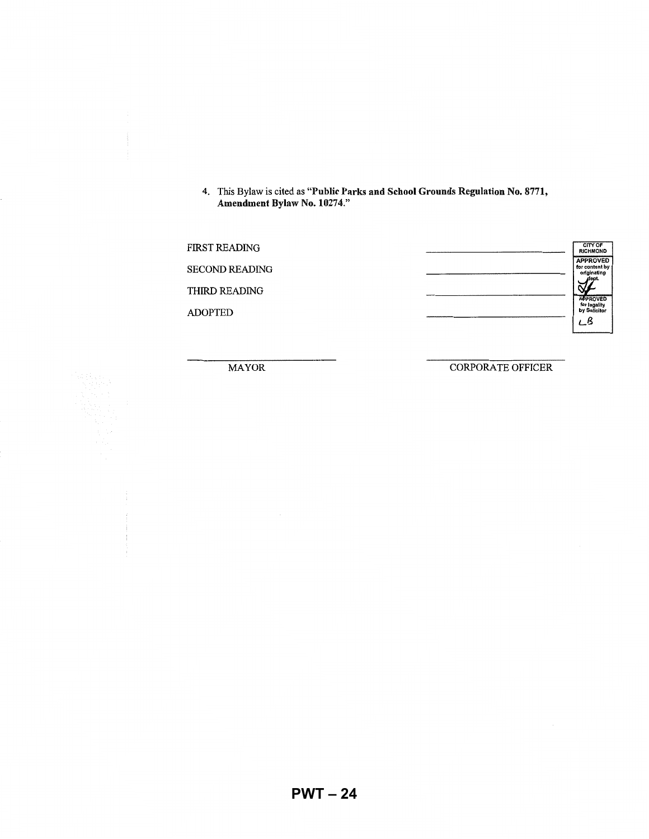4. This Bylaw is cited as "Public Parks and **School** Grounds Regulation No. 8771, Amendment Bylaw No. 10274."

| <b>FIRST READING</b>  | CITY OF<br><b>RICHMOND</b>                       |
|-----------------------|--------------------------------------------------|
| <b>SECOND READING</b> | <b>APPROVED</b><br>for content by<br>originating |
| THIRD READING         | <b>APPROVED</b>                                  |
| <b>ADOPTED</b>        | for legality<br>by Solicitor<br>LΒ               |
|                       |                                                  |

MAYOR CORPORATE OFFICER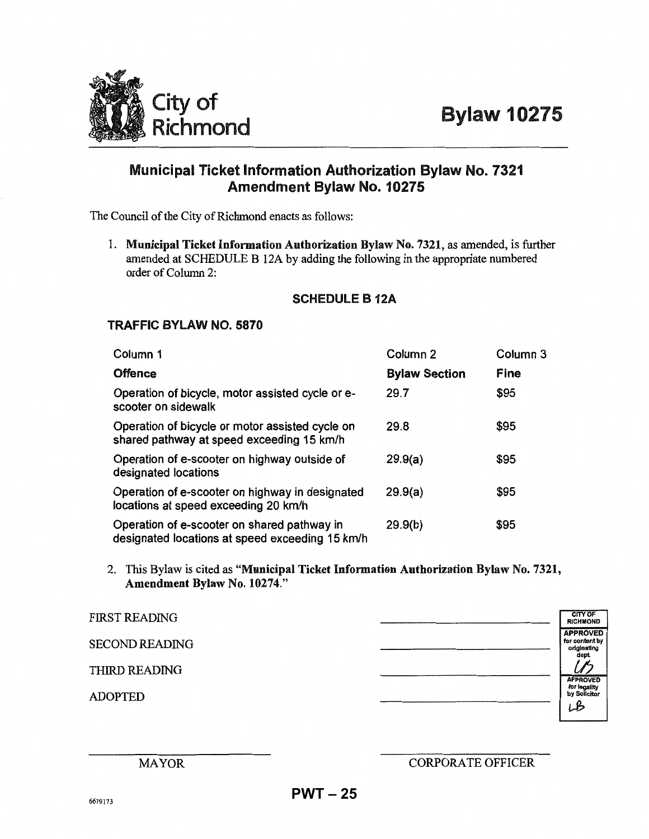

# Municipal Ticket Information Authorization Bylaw No. 7321 Amendment Bylaw No. 10275

The Council of the City of Richmond enacts as follows:

1. **Municipal Ticket Information Authorization Bylaw** No. 7321, as amended, is further amended at SCHEDULE B 12A by adding the following in the appropriate numbered order of Column 2:

### **SCHEDULE** B 12A

### **TRAFFIC BYLAW NO. 5870**

| Column 1                                                                                       | Column 2             | Column 3 |
|------------------------------------------------------------------------------------------------|----------------------|----------|
| <b>Offence</b>                                                                                 | <b>Bylaw Section</b> | Fine     |
| Operation of bicycle, motor assisted cycle or e-<br>scooter on sidewalk                        | 29.7                 | \$95     |
| Operation of bicycle or motor assisted cycle on<br>shared pathway at speed exceeding 15 km/h   | 29.8                 | \$95     |
| Operation of e-scooter on highway outside of<br>designated locations                           | 29.9(a)              | \$95     |
| Operation of e-scooter on highway in designated<br>locations at speed exceeding 20 km/h        | 29.9(a)              | \$95     |
| Operation of e-scooter on shared pathway in<br>designated locations at speed exceeding 15 km/h | 29.9(b)              | \$95     |

2. This Bylaw is cited as "Municipal Ticket Information Authorization Bylaw No. 7321, Amendment Bylaw No. 10274."

| <b>FIRST READING</b>  | <b>CITY OF</b><br><b>RICHMOND</b>                         |
|-----------------------|-----------------------------------------------------------|
| <b>SECOND READING</b> | <b>APPROVED</b><br>for content by<br>originating<br>dept. |
| THIRD READING         |                                                           |
| <b>ADOPTED</b>        | <b>APPROVED</b><br>for legality<br>by Solicitor<br>LB     |

# CORPORA TE OFFICER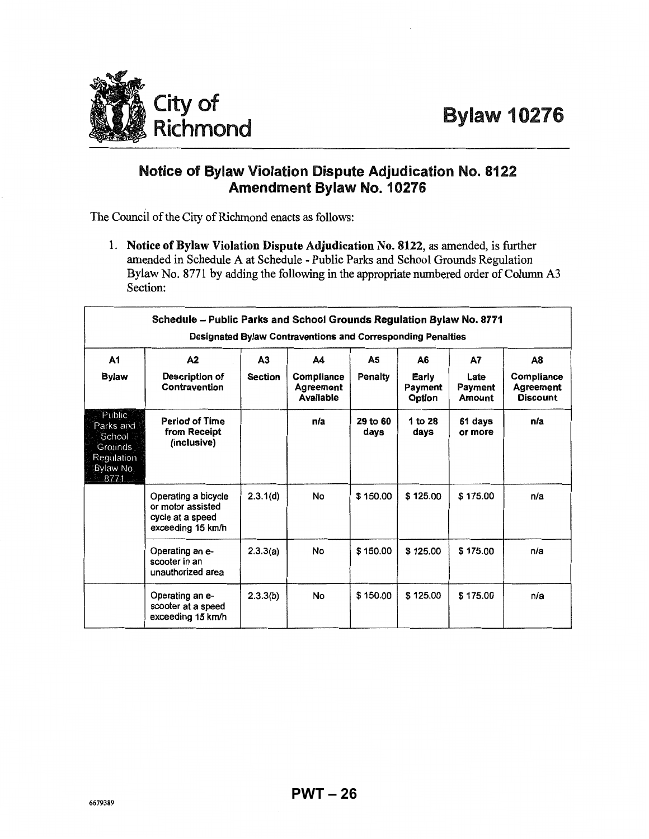

# Notice of Bylaw Violation Dispute Adjudication No. 8122 Amendment Bylaw No. 10276

The Council of the City of Richmond enacts as follows:

1. Notice of Bylaw Violation Dispute Adjudication No. 8122, as amended, is further amended in Schedule A at Schedule - Public Parks and School Grounds Regulation Bylaw No. 8771 by adding the following in the appropriate numbered order of Column A3 Section:

| Schedule - Public Parks and School Grounds Regulation Bylaw No. 8771<br>Designated Bylaw Contraventions and Corresponding Penalties |                                                                                   |                      |                                            |                  |                                  |                                 |                                                  |  |
|-------------------------------------------------------------------------------------------------------------------------------------|-----------------------------------------------------------------------------------|----------------------|--------------------------------------------|------------------|----------------------------------|---------------------------------|--------------------------------------------------|--|
| A1<br>Bylaw                                                                                                                         | A2<br>Description of<br>Contravention                                             | A3<br><b>Section</b> | A4<br>Compliance<br>Agreement<br>Available | A5<br>Penalty    | А6<br>Early<br>Payment<br>Option | A7<br>Late<br>Payment<br>Amount | A8<br>Compliance<br><b>Agreement</b><br>Discount |  |
| Public-<br>Parks and<br>School<br>Grounds<br>Regulation<br>Bylaw No.<br>8771                                                        | <b>Period of Time</b><br>from Receipt<br>(inclusive)                              |                      | n/a                                        | 29 to 60<br>days | 1 to 28<br>days                  | 61 days<br>or more              | n/a                                              |  |
|                                                                                                                                     | Operating a bicycle<br>or motor assisted<br>cycle at a speed<br>exceeding 15 km/h | 2.3.1(d)             | <b>No</b>                                  | \$150.00         | \$125.00                         | \$175.00                        | n/a                                              |  |
|                                                                                                                                     | Operating an e-<br>scooter in an<br>unauthorized area                             | 2.3.3(a)             | No                                         | \$150.00         | \$125.00                         | \$175.00                        | n/a                                              |  |
|                                                                                                                                     | Operating an e-<br>scooter at a speed<br>exceeding 15 km/h                        | 2.3.3(b)             | No.                                        | \$150.00         | \$125.00                         | \$175.00                        | n/a                                              |  |